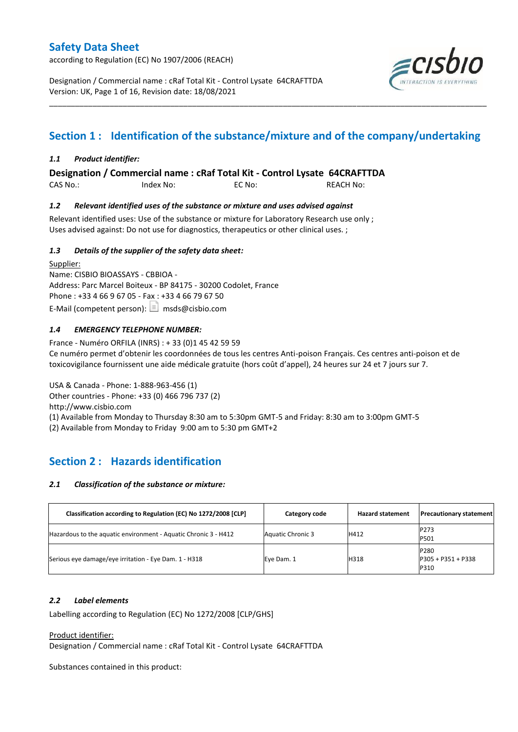according to Regulation (EC) No 1907/2006 (REACH)

Designation / Commercial name : cRaf Total Kit - Control Lysate 64CRAFTTDA Version: UK, Page 1 of 16, Revision date: 18/08/2021



## **Section 1 : Identification of the substance/mixture and of the company/undertaking**

\_\_\_\_\_\_\_\_\_\_\_\_\_\_\_\_\_\_\_\_\_\_\_\_\_\_\_\_\_\_\_\_\_\_\_\_\_\_\_\_\_\_\_\_\_\_\_\_\_\_\_\_\_\_\_\_\_\_\_\_\_\_\_\_\_\_\_\_\_\_\_\_\_\_\_\_\_\_\_\_\_\_\_\_\_\_\_\_\_\_\_\_\_\_\_\_\_\_\_\_\_

#### *1.1 Product identifier:*

**Designation / Commercial name : cRaf Total Kit - Control Lysate 64CRAFTTDA** 

CAS No.: Index No: EC No: REACH No:

#### *1.2 Relevant identified uses of the substance or mixture and uses advised against*

Relevant identified uses: Use of the substance or mixture for Laboratory Research use only ; Uses advised against: Do not use for diagnostics, therapeutics or other clinical uses. ;

#### *1.3 Details of the supplier of the safety data sheet:*

Supplier: Name: CISBIO BIOASSAYS - CBBIOA - Address: Parc Marcel Boiteux - BP 84175 - 30200 Codolet, France Phone : +33 4 66 9 67 05 - Fax : +33 4 66 79 67 50 E-Mail (competent person):  $\boxed{\equiv}$  msds@cisbio.com

#### *1.4 EMERGENCY TELEPHONE NUMBER:*

France - Numéro ORFILA (INRS) : + 33 (0)1 45 42 59 59 Ce numéro permet d'obtenir les coordonnées de tous les centres Anti-poison Français. Ces centres anti-poison et de toxicovigilance fournissent une aide médicale gratuite (hors coût d'appel), 24 heures sur 24 et 7 jours sur 7.

USA & Canada - Phone: 1-888-963-456 (1) Other countries - Phone: +33 (0) 466 796 737 (2) http://www.cisbio.com (1) Available from Monday to Thursday 8:30 am to 5:30pm GMT-5 and Friday: 8:30 am to 3:00pm GMT-5

(2) Available from Monday to Friday 9:00 am to 5:30 pm GMT+2

## **Section 2 : Hazards identification**

#### *2.1 Classification of the substance or mixture:*

| Classification according to Regulation (EC) No 1272/2008 [CLP]  | Category code     | <b>Hazard statement</b> | <b>Precautionary statement</b>              |
|-----------------------------------------------------------------|-------------------|-------------------------|---------------------------------------------|
| Hazardous to the aquatic environment - Aquatic Chronic 3 - H412 | Aquatic Chronic 3 | H412                    | P273<br>P501                                |
| Serious eye damage/eye irritation - Eye Dam. 1 - H318           | Eye Dam. 1        | H318                    | <b>P280</b><br>$P305 + P351 + P338$<br>P310 |

#### *2.2 Label elements*

Labelling according to Regulation (EC) No 1272/2008 [CLP/GHS]

Product identifier:

Designation / Commercial name : cRaf Total Kit - Control Lysate 64CRAFTTDA

Substances contained in this product: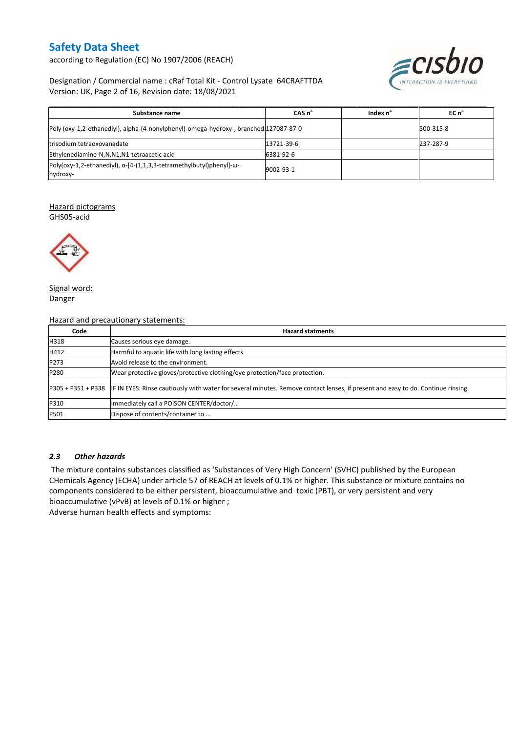according to Regulation (EC) No 1907/2006 (REACH)



#### Designation / Commercial name : cRaf Total Kit - Control Lysate 64CRAFTTDA Version: UK, Page 2 of 16, Revision date: 18/08/2021

| Substance name                                                                                   | CAS <sub>n</sub> ° | Index n° | $ECn$ <sup>°</sup> |
|--------------------------------------------------------------------------------------------------|--------------------|----------|--------------------|
| Poly (oxy-1,2-ethanediyl), alpha-(4-nonylphenyl)-omega-hydroxy-, branched 127087-87-0            |                    |          | 500-315-8          |
| Itrisodium tetraoxovanadate                                                                      | 13721-39-6         |          | 237-287-9          |
| Ethylenediamine-N,N,N1,N1-tetraacetic acid                                                       | 6381-92-6          |          |                    |
| Poly(oxy-1,2-ethanediyl), $\alpha$ -[4-(1,1,3,3-tetramethylbutyl)phenyl]- $\omega$ -<br>hydroxy- | 9002-93-1          |          |                    |

#### Hazard pictograms

GHS05-acid



Signal word: Danger

Hazard and precautionary statements:

| Code | <b>Hazard statments</b>                                                                                                                             |
|------|-----------------------------------------------------------------------------------------------------------------------------------------------------|
| H318 | Causes serious eye damage.                                                                                                                          |
| H412 | Harmful to aquatic life with long lasting effects                                                                                                   |
| P273 | Avoid release to the environment.                                                                                                                   |
| P280 | Wear protective gloves/protective clothing/eye protection/face protection.                                                                          |
|      | P305 + P351 + P338 IF IN EYES: Rinse cautiously with water for several minutes. Remove contact lenses, if present and easy to do. Continue rinsing. |
| P310 | Immediately call a POISON CENTER/doctor/                                                                                                            |
| P501 | Dispose of contents/container to                                                                                                                    |

#### *2.3 Other hazards*

The mixture contains substances classified as 'Substances of Very High Concern' (SVHC) published by the European CHemicals Agency (ECHA) under article 57 of REACH at levels of 0.1% or higher. This substance or mixture contains no components considered to be either persistent, bioaccumulative and toxic (PBT), or very persistent and very bioaccumulative (vPvB) at levels of 0.1% or higher ;

Adverse human health effects and symptoms: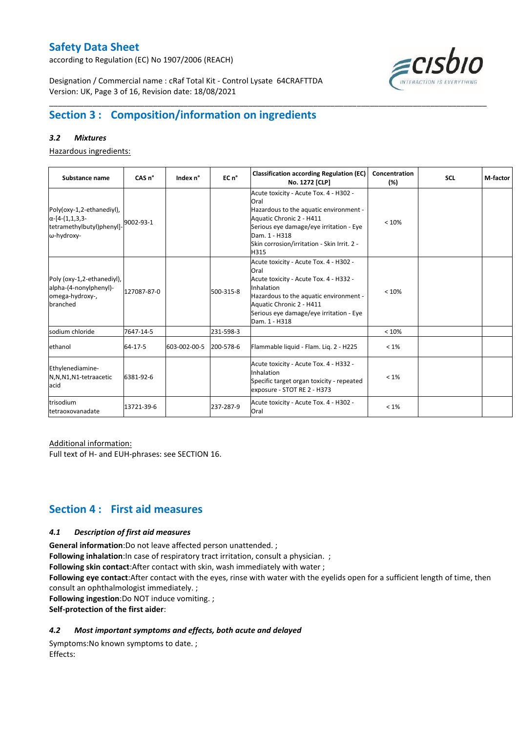according to Regulation (EC) No 1907/2006 (REACH)



Designation / Commercial name : cRaf Total Kit - Control Lysate 64CRAFTTDA Version: UK, Page 3 of 16, Revision date: 18/08/2021

## **Section 3 : Composition/information on ingredients**

#### *3.2 Mixtures*

Hazardous ingredients:

| Substance name                                                                                 | CAS n°      | Index n°     | EC n <sup>o</sup> | <b>Classification according Regulation (EC)</b><br>No. 1272 [CLP]                                                                                                                                                                        | Concentration<br>(%) | <b>SCL</b> | M-factor |
|------------------------------------------------------------------------------------------------|-------------|--------------|-------------------|------------------------------------------------------------------------------------------------------------------------------------------------------------------------------------------------------------------------------------------|----------------------|------------|----------|
| Poly(oxy-1,2-ethanediyl),<br>$\alpha$ -[4-(1,1,3,3-<br>tetramethylbutyl)phenyl]-<br>ω-hydroxy- | 9002-93-1   |              |                   | Acute toxicity - Acute Tox. 4 - H302 -<br>Oral<br>Hazardous to the aquatic environment -<br>Aquatic Chronic 2 - H411<br>Serious eye damage/eye irritation - Eye<br>Dam. 1 - H318<br>Skin corrosion/irritation - Skin Irrit. 2 -<br>H315  | < 10%                |            |          |
| Poly (oxy-1,2-ethanediyl),<br>alpha-(4-nonylphenyl)-<br>omega-hydroxy-,<br>branched            | 127087-87-0 |              | 500-315-8         | Acute toxicity - Acute Tox. 4 - H302 -<br>Oral<br>Acute toxicity - Acute Tox. 4 - H332 -<br>Inhalation<br>Hazardous to the aquatic environment -<br>Aquatic Chronic 2 - H411<br>Serious eye damage/eye irritation - Eye<br>Dam. 1 - H318 | < 10%                |            |          |
| sodium chloride                                                                                | 7647-14-5   |              | 231-598-3         |                                                                                                                                                                                                                                          | < 10%                |            |          |
| ethanol                                                                                        | 64-17-5     | 603-002-00-5 | 200-578-6         | Flammable liquid - Flam. Liq. 2 - H225                                                                                                                                                                                                   | $< 1\%$              |            |          |
| Ethylenediamine-<br>N,N,N1,N1-tetraacetic<br>acid                                              | 6381-92-6   |              |                   | Acute toxicity - Acute Tox. 4 - H332 -<br>Inhalation<br>Specific target organ toxicity - repeated<br>exposure - STOT RE 2 - H373                                                                                                         | $< 1\%$              |            |          |
| trisodium<br>tetraoxovanadate                                                                  | 13721-39-6  |              | 237-287-9         | Acute toxicity - Acute Tox. 4 - H302 -<br>Oral                                                                                                                                                                                           | $< 1\%$              |            |          |

\_\_\_\_\_\_\_\_\_\_\_\_\_\_\_\_\_\_\_\_\_\_\_\_\_\_\_\_\_\_\_\_\_\_\_\_\_\_\_\_\_\_\_\_\_\_\_\_\_\_\_\_\_\_\_\_\_\_\_\_\_\_\_\_\_\_\_\_\_\_\_\_\_\_\_\_\_\_\_\_\_\_\_\_\_\_\_\_\_\_\_\_\_\_\_\_\_\_\_\_\_

#### Additional information:

Full text of H- and EUH-phrases: see SECTION 16.

## **Section 4 : First aid measures**

#### *4.1 Description of first aid measures*

**General information**:Do not leave affected person unattended. ;

**Following inhalation**:In case of respiratory tract irritation, consult a physician. ;

**Following skin contact**:After contact with skin, wash immediately with water ;

**Following eye contact**:After contact with the eyes, rinse with water with the eyelids open for a sufficient length of time, then consult an ophthalmologist immediately. ;

**Following ingestion**:Do NOT induce vomiting. ;

**Self-protection of the first aider**:

#### *4.2 Most important symptoms and effects, both acute and delayed*

Symptoms:No known symptoms to date. ; Effects: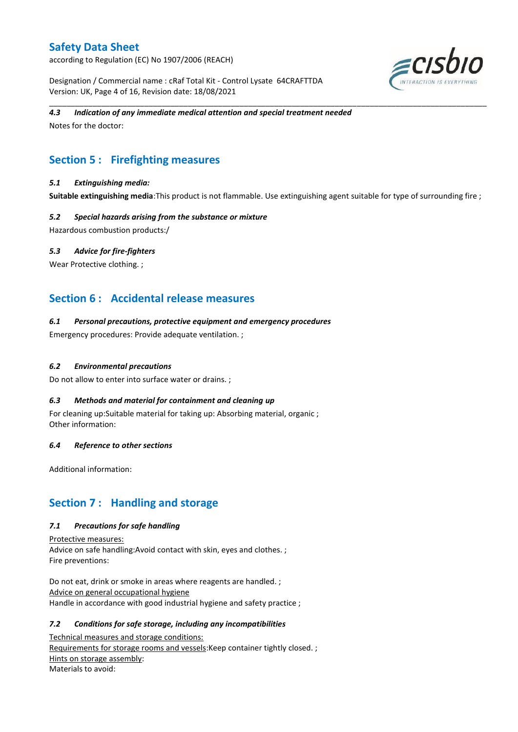according to Regulation (EC) No 1907/2006 (REACH)

Designation / Commercial name : cRaf Total Kit - Control Lysate 64CRAFTTDA Version: UK, Page 4 of 16, Revision date: 18/08/2021



#### *4.3 Indication of any immediate medical attention and special treatment needed*

Notes for the doctor:

## **Section 5 : Firefighting measures**

#### *5.1 Extinguishing media:*

**Suitable extinguishing media**:This product is not flammable. Use extinguishing agent suitable for type of surrounding fire ;

\_\_\_\_\_\_\_\_\_\_\_\_\_\_\_\_\_\_\_\_\_\_\_\_\_\_\_\_\_\_\_\_\_\_\_\_\_\_\_\_\_\_\_\_\_\_\_\_\_\_\_\_\_\_\_\_\_\_\_\_\_\_\_\_\_\_\_\_\_\_\_\_\_\_\_\_\_\_\_\_\_\_\_\_\_\_\_\_\_\_\_\_\_\_\_\_\_\_\_\_\_

#### *5.2 Special hazards arising from the substance or mixture*

Hazardous combustion products:/

#### *5.3 Advice for fire-fighters*

Wear Protective clothing.;

## **Section 6 : Accidental release measures**

#### *6.1 Personal precautions, protective equipment and emergency procedures*

Emergency procedures: Provide adequate ventilation. ;

#### *6.2 Environmental precautions*

Do not allow to enter into surface water or drains. ;

#### *6.3 Methods and material for containment and cleaning up*

For cleaning up:Suitable material for taking up: Absorbing material, organic ; Other information:

#### *6.4 Reference to other sections*

Additional information:

## **Section 7 : Handling and storage**

#### *7.1 Precautions for safe handling*

Protective measures: Advice on safe handling:Avoid contact with skin, eyes and clothes. ; Fire preventions:

Do not eat, drink or smoke in areas where reagents are handled. ; Advice on general occupational hygiene Handle in accordance with good industrial hygiene and safety practice ;

#### *7.2 Conditions for safe storage, including any incompatibilities*

Technical measures and storage conditions: Requirements for storage rooms and vessels: Keep container tightly closed. ; Hints on storage assembly: Materials to avoid: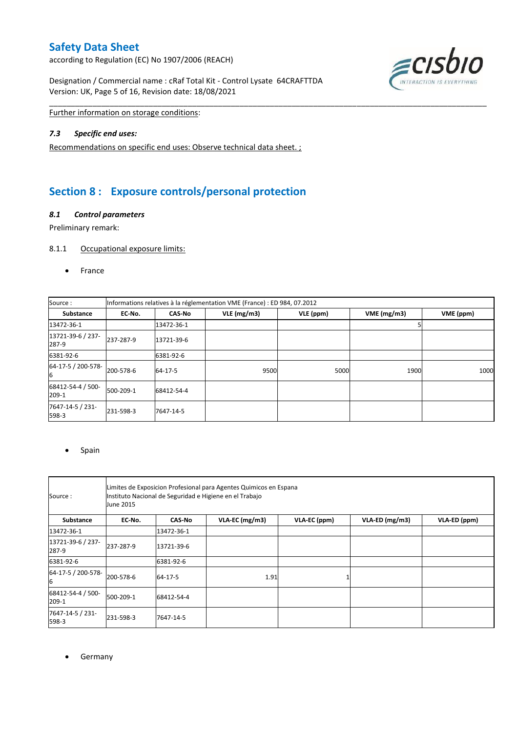according to Regulation (EC) No 1907/2006 (REACH)

Designation / Commercial name : cRaf Total Kit - Control Lysate 64CRAFTTDA Version: UK, Page 5 of 16, Revision date: 18/08/2021



Further information on storage conditions:

#### *7.3 Specific end uses:*

Recommendations on specific end uses: Observe technical data sheet. ;

## **Section 8 : Exposure controls/personal protection**

#### *8.1 Control parameters*

Preliminary remark:

#### 8.1.1 Occupational exposure limits:

• France

| Source:                    | Informations relatives à la réglementation VME (France) : ED 984, 07.2012 |               |            |           |            |           |  |
|----------------------------|---------------------------------------------------------------------------|---------------|------------|-----------|------------|-----------|--|
| <b>Substance</b>           | EC No.                                                                    | <b>CAS-No</b> | VLE(mg/m3) | VLE (ppm) | VME(mg/m3) | VME (ppm) |  |
| 13472-36-1                 |                                                                           | 13472-36-1    |            |           |            |           |  |
| 13721-39-6 / 237-<br>287-9 | 237-287-9                                                                 | 13721-39-6    |            |           |            |           |  |
| 6381-92-6                  |                                                                           | 6381-92-6     |            |           |            |           |  |
| 64-17-5 / 200-578-<br>6    | 200-578-6                                                                 | 64-17-5       | 9500       | 5000      | 1900       | 1000      |  |
| 68412-54-4 / 500-<br>209-1 | 500-209-1                                                                 | 68412-54-4    |            |           |            |           |  |
| 7647-14-5 / 231-<br>598-3  | 231-598-3                                                                 | 7647-14-5     |            |           |            |           |  |

\_\_\_\_\_\_\_\_\_\_\_\_\_\_\_\_\_\_\_\_\_\_\_\_\_\_\_\_\_\_\_\_\_\_\_\_\_\_\_\_\_\_\_\_\_\_\_\_\_\_\_\_\_\_\_\_\_\_\_\_\_\_\_\_\_\_\_\_\_\_\_\_\_\_\_\_\_\_\_\_\_\_\_\_\_\_\_\_\_\_\_\_\_\_\_\_\_\_\_\_\_

#### • Spain

| Source:                    | Limites de Exposicion Profesional para Agentes Quimicos en Espana<br>Instituto Nacional de Seguridad e Higiene en el Trabajo<br>June 2015 |               |                |              |                |              |  |
|----------------------------|-------------------------------------------------------------------------------------------------------------------------------------------|---------------|----------------|--------------|----------------|--------------|--|
| Substance                  | EC-No.                                                                                                                                    | <b>CAS-No</b> | VLA-EC (mg/m3) | VLA-EC (ppm) | VLA-ED (mg/m3) | VLA-ED (ppm) |  |
| 13472-36-1                 |                                                                                                                                           | 13472-36-1    |                |              |                |              |  |
| 13721-39-6 / 237-<br>287-9 | 237-287-9                                                                                                                                 | 13721-39-6    |                |              |                |              |  |
| 6381-92-6                  |                                                                                                                                           | 6381-92-6     |                |              |                |              |  |
| 64-17-5 / 200-578-<br>6    | 200-578-6                                                                                                                                 | 64-17-5       | 1.91           |              |                |              |  |
| 68412-54-4 / 500-<br>209-1 | 500-209-1                                                                                                                                 | 68412-54-4    |                |              |                |              |  |
| 7647-14-5 / 231-<br>598-3  | 231-598-3                                                                                                                                 | 7647-14-5     |                |              |                |              |  |

**•** Germany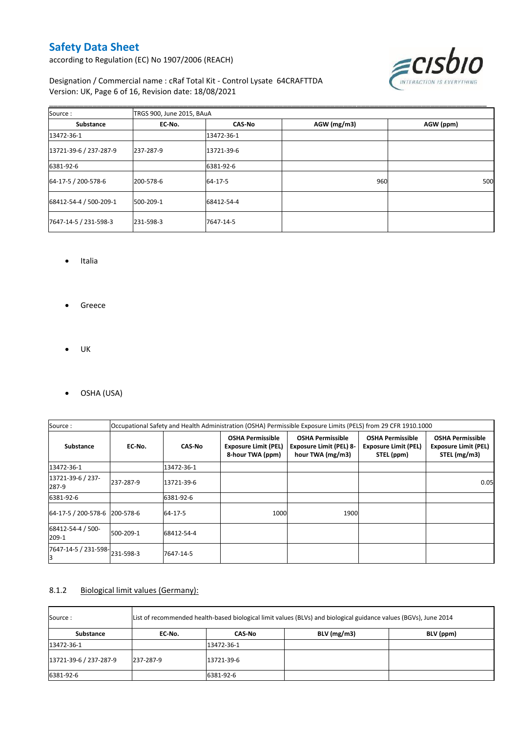according to Regulation (EC) No 1907/2006 (REACH)



Designation / Commercial name : cRaf Total Kit - Control Lysate 64CRAFTTDA Version: UK, Page 6 of 16, Revision date: 18/08/2021

| Source:                | TRGS 900, June 2015, BAuA |               |             |           |  |  |  |
|------------------------|---------------------------|---------------|-------------|-----------|--|--|--|
| Substance              | EC-No.                    | <b>CAS-No</b> | AGW (mg/m3) | AGW (ppm) |  |  |  |
| 13472-36-1             |                           | 13472-36-1    |             |           |  |  |  |
| 13721-39-6 / 237-287-9 | 237-287-9                 | 13721-39-6    |             |           |  |  |  |
| 6381-92-6              |                           | 6381-92-6     |             |           |  |  |  |
| 64-17-5 / 200-578-6    | 200-578-6                 | 64-17-5       | 960         | 500       |  |  |  |
| 68412-54-4 / 500-209-1 | 500-209-1                 | 68412-54-4    |             |           |  |  |  |
| 7647-14-5 / 231-598-3  | 231-598-3                 | 7647-14-5     |             |           |  |  |  |

\_\_\_\_\_\_\_\_\_\_\_\_\_\_\_\_\_\_\_\_\_\_\_\_\_\_\_\_\_\_\_\_\_\_\_\_\_\_\_\_\_\_\_\_\_\_\_\_\_\_\_\_\_\_\_\_\_\_\_\_\_\_\_\_\_\_\_\_\_\_\_\_\_\_\_\_\_\_\_\_\_\_\_\_\_\_\_\_\_\_\_\_\_\_\_\_\_\_\_\_\_

- Italia
- **•** Greece
- $\bullet$  UK
- OSHA (USA)

| Source:                             | Occupational Safety and Health Administration (OSHA) Permissible Exposure Limits (PELS) from 29 CFR 1910.1000 |               |                                                                            |                                                                               |                                                                      |                                                                        |
|-------------------------------------|---------------------------------------------------------------------------------------------------------------|---------------|----------------------------------------------------------------------------|-------------------------------------------------------------------------------|----------------------------------------------------------------------|------------------------------------------------------------------------|
| <b>Substance</b>                    | EC-No.                                                                                                        | <b>CAS-No</b> | <b>OSHA Permissible</b><br><b>Exposure Limit (PEL)</b><br>8-hour TWA (ppm) | <b>OSHA Permissible</b><br><b>Exposure Limit (PEL) 8-</b><br>hour TWA (mg/m3) | <b>OSHA Permissible</b><br><b>Exposure Limit (PEL)</b><br>STEL (ppm) | <b>OSHA Permissible</b><br><b>Exposure Limit (PEL)</b><br>STEL (mg/m3) |
| 13472-36-1                          |                                                                                                               | 13472-36-1    |                                                                            |                                                                               |                                                                      |                                                                        |
| 13721-39-6 / 237-<br>287-9          | 237-287-9                                                                                                     | 13721-39-6    |                                                                            |                                                                               |                                                                      | 0.05                                                                   |
| 6381-92-6                           |                                                                                                               | 6381-92-6     |                                                                            |                                                                               |                                                                      |                                                                        |
| 64-17-5 / 200-578-6 200-578-6       |                                                                                                               | 64-17-5       | 1000                                                                       | 1900                                                                          |                                                                      |                                                                        |
| 68412-54-4 / 500-<br>209-1          | 500-209-1                                                                                                     | 68412-54-4    |                                                                            |                                                                               |                                                                      |                                                                        |
| 7647-14-5 / 231-598-231-598-3<br>IЗ |                                                                                                               | 7647-14-5     |                                                                            |                                                                               |                                                                      |                                                                        |

#### 8.1.2 Biological limit values (Germany):

| Source:                | List of recommended health-based biological limit values (BLVs) and biological guidance values (BGVs), June 2014 |            |               |           |  |  |
|------------------------|------------------------------------------------------------------------------------------------------------------|------------|---------------|-----------|--|--|
| Substance              | EC No.                                                                                                           | CAS-No     | $BLV$ (mg/m3) | BLV (ppm) |  |  |
| 13472-36-1             |                                                                                                                  | 13472-36-1 |               |           |  |  |
| 13721-39-6 / 237-287-9 | 237-287-9                                                                                                        | 13721-39-6 |               |           |  |  |
| 6381-92-6              |                                                                                                                  | 6381-92-6  |               |           |  |  |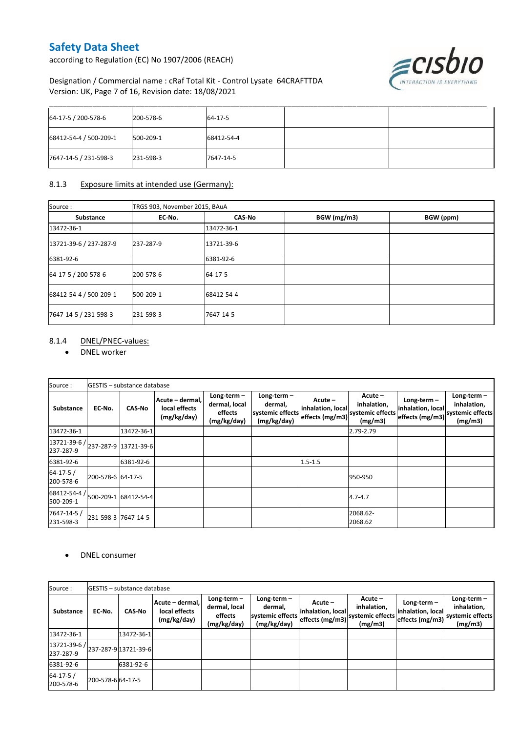according to Regulation (EC) No 1907/2006 (REACH)



#### Designation / Commercial name : cRaf Total Kit - Control Lysate 64CRAFTTDA Version: UK, Page 7 of 16, Revision date: 18/08/2021

| 64-17-5 / 200-578-6    | 200-578-6 | 64-17-5    |  |
|------------------------|-----------|------------|--|
| 68412-54-4 / 500-209-1 | 500-209-1 | 68412-54-4 |  |
| 7647-14-5 / 231-598-3  | 231-598-3 | 7647-14-5  |  |

#### 8.1.3 Exposure limits at intended use (Germany):

| Source:                | TRGS 903, November 2015, BAuA |               |             |           |  |  |  |
|------------------------|-------------------------------|---------------|-------------|-----------|--|--|--|
| Substance              | EC-No.                        | <b>CAS-No</b> | BGW (mg/m3) | BGW (ppm) |  |  |  |
| 13472-36-1             |                               | 13472-36-1    |             |           |  |  |  |
| 13721-39-6 / 237-287-9 | 237-287-9                     | 13721-39-6    |             |           |  |  |  |
| 6381-92-6              |                               | 6381-92-6     |             |           |  |  |  |
| 64-17-5 / 200-578-6    | 200-578-6                     | 64-17-5       |             |           |  |  |  |
| 68412-54-4 / 500-209-1 | 500-209-1                     | 68412-54-4    |             |           |  |  |  |
| 7647-14-5 / 231-598-3  | 231-598-3                     | 7647-14-5     |             |           |  |  |  |

#### 8.1.4 DNEL/PNEC-values:

DNEL worker

| Source:                                                                                                                  |                   | GESTIS - substance database |                                                 |                                                          |                                                             |                                                   |                                                      |                                                                        |                                         |
|--------------------------------------------------------------------------------------------------------------------------|-------------------|-----------------------------|-------------------------------------------------|----------------------------------------------------------|-------------------------------------------------------------|---------------------------------------------------|------------------------------------------------------|------------------------------------------------------------------------|-----------------------------------------|
| Substance                                                                                                                | EC No.            | <b>CAS-No</b>               | Acute - dermal,<br>local effects<br>(mg/kg/day) | Long-term $-$<br>dermal, local<br>effects<br>(mg/kg/day) | Long-term $-$<br>dermal,<br>systemic effects<br>(mg/kg/day) | $Acute -$<br>inhalation, local<br>effects (mg/m3) | Acute-<br>inhalation,<br>systemic effects<br>(mg/m3) | Long-term $-$<br>inhalation, local<br>effects (mg/m3) systemic effects | Long-term $-$<br>inhalation,<br>(mg/m3) |
| 13472-36-1                                                                                                               |                   | 13472-36-1                  |                                                 |                                                          |                                                             |                                                   | 2.79-2.79                                            |                                                                        |                                         |
| $\left[ \frac{13721 - 39 - 6}{237 - 287 - 9} \right]$ $\left[ \frac{13721 - 39 - 6}{237 - 287 - 9} \right]$<br>237-287-9 |                   |                             |                                                 |                                                          |                                                             |                                                   |                                                      |                                                                        |                                         |
| 6381-92-6                                                                                                                |                   | 6381-92-6                   |                                                 |                                                          |                                                             | $1.5 - 1.5$                                       |                                                      |                                                                        |                                         |
| $64 - 17 - 5/$<br>200-578-6                                                                                              | 200-578-6 64-17-5 |                             |                                                 |                                                          |                                                             |                                                   | 950-950                                              |                                                                        |                                         |
| 68412-54-4 /<br>500-209-1                                                                                                |                   | 500-209-1 68412-54-4        |                                                 |                                                          |                                                             |                                                   | $4.7 - 4.7$                                          |                                                                        |                                         |
| 7647-14-5 /<br>231-598-3                                                                                                 |                   | 231-598-3 7647-14-5         |                                                 |                                                          |                                                             |                                                   | 2068.62-<br>2068.62                                  |                                                                        |                                         |

#### DNEL consumer

| Source:                                                                                       |                  | <b>IGESTIS - substance database</b> |                                                 |                                                          |                                                             |                                                   |                                                      |                                                     |                                                             |
|-----------------------------------------------------------------------------------------------|------------------|-------------------------------------|-------------------------------------------------|----------------------------------------------------------|-------------------------------------------------------------|---------------------------------------------------|------------------------------------------------------|-----------------------------------------------------|-------------------------------------------------------------|
| <b>Substance</b>                                                                              | EC-No.           | <b>CAS-No</b>                       | Acute - dermal,<br>local effects<br>(mg/kg/day) | Long-term $-$<br>dermal, local<br>effects<br>(mg/kg/day) | Long-term $-$<br>dermal.<br>systemic effects<br>(mg/kg/day) | $Acute -$<br>inhalation, local<br>effects (mg/m3) | Acute-<br>inhalation,<br>systemic effects<br>(mg/m3) | Long-term -<br>inhalation, local<br>effects (mg/m3) | Long-term $-$<br>inhalation,<br>systemic effects<br>(mg/m3) |
| 13472-36-1                                                                                    |                  | 13472-36-1                          |                                                 |                                                          |                                                             |                                                   |                                                      |                                                     |                                                             |
| $\left  \frac{13721 \cdot 39 \cdot 6}{237 \cdot 287 \cdot 9} \right $ 13721-39-6<br>237-287-9 |                  |                                     |                                                 |                                                          |                                                             |                                                   |                                                      |                                                     |                                                             |
| 6381-92-6                                                                                     |                  | 6381-92-6                           |                                                 |                                                          |                                                             |                                                   |                                                      |                                                     |                                                             |
| $64 - 17 - 5/$<br>200-578-6                                                                   | 200-578-664-17-5 |                                     |                                                 |                                                          |                                                             |                                                   |                                                      |                                                     |                                                             |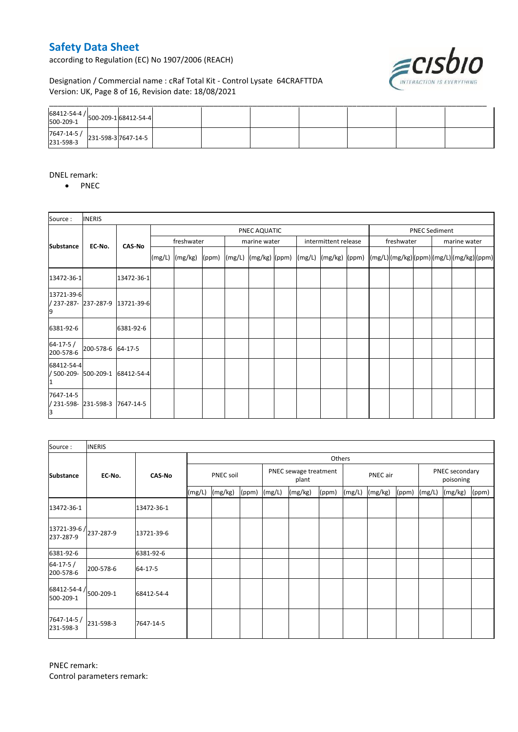according to Regulation (EC) No 1907/2006 (REACH)



#### Designation / Commercial name : cRaf Total Kit - Control Lysate 64CRAFTTDA Version: UK, Page 8 of 16, Revision date: 18/08/2021

| $\begin{array}{ c c c c c }\n 7647 - 14 - 5 & 231 - 598 - 3 & 7647 - 14 - 5 & 231 - 598 - 3 & 7647 - 14 - 5 & 231 - 598 - 3 & 7647 - 14 - 5 & 311 - 598 - 3 & 7647 - 14 & 566 \end{array}$ |  |  |  |  |  |
|--------------------------------------------------------------------------------------------------------------------------------------------------------------------------------------------|--|--|--|--|--|

#### DNEL remark:

• PNEC

| Source:                      | <b>INERIS</b>       |                                 |            |                    |  |              |  |  |                      |                                                                                                                                                                                                                                                                                                                                                                                                                                                                                                                  |  |            |                      |  |              |  |  |
|------------------------------|---------------------|---------------------------------|------------|--------------------|--|--------------|--|--|----------------------|------------------------------------------------------------------------------------------------------------------------------------------------------------------------------------------------------------------------------------------------------------------------------------------------------------------------------------------------------------------------------------------------------------------------------------------------------------------------------------------------------------------|--|------------|----------------------|--|--------------|--|--|
|                              |                     |                                 |            | PNEC AQUATIC       |  |              |  |  |                      |                                                                                                                                                                                                                                                                                                                                                                                                                                                                                                                  |  |            | <b>PNEC Sediment</b> |  |              |  |  |
| <b>Substance</b>             | EC-No.              | <b>CAS-No</b>                   | freshwater |                    |  | marine water |  |  | intermittent release |                                                                                                                                                                                                                                                                                                                                                                                                                                                                                                                  |  | freshwater |                      |  | marine water |  |  |
|                              |                     |                                 |            | $(mg/L)$ $(mg/kg)$ |  |              |  |  |                      | $\lceil (ppm) \rceil \cdot \lceil (mg/L) \rceil \cdot \lceil (mg/kg) \rceil \cdot \lceil (mg/L) \rceil \cdot \lceil (mg/k) \rceil \cdot \lceil (mg/L) \rceil \cdot \lceil (mg/L) \rceil \cdot \lceil (mg/L) \rceil \cdot \lceil (mg/L) \rceil \cdot \lceil (mg/L) \rceil \cdot \lceil (mg/L) \rceil \cdot \lceil (mg/L) \rceil \cdot \lceil (mg/L) \rceil \cdot \lceil (mg/L) \rceil \cdot \lceil (mg/L) \rceil \cdot \lceil (mg/L) \rceil \cdot \lceil (gm/L) \rceil \cdot \lceil (gm/L) \rceil \cdot \lceil ($ |  |            |                      |  |              |  |  |
| 13472-36-1                   |                     | 13472-36-1                      |            |                    |  |              |  |  |                      |                                                                                                                                                                                                                                                                                                                                                                                                                                                                                                                  |  |            |                      |  |              |  |  |
| 13721-39-6                   |                     | / 237-287- 237-287-9 13721-39-6 |            |                    |  |              |  |  |                      |                                                                                                                                                                                                                                                                                                                                                                                                                                                                                                                  |  |            |                      |  |              |  |  |
| 6381-92-6                    |                     | 6381-92-6                       |            |                    |  |              |  |  |                      |                                                                                                                                                                                                                                                                                                                                                                                                                                                                                                                  |  |            |                      |  |              |  |  |
| $64 - 17 - 5/$<br>200-578-6  | 200-578-6 64-17-5   |                                 |            |                    |  |              |  |  |                      |                                                                                                                                                                                                                                                                                                                                                                                                                                                                                                                  |  |            |                      |  |              |  |  |
| 68412-54-4<br>/ 500-209-     | 500-209-1           | 68412-54-4                      |            |                    |  |              |  |  |                      |                                                                                                                                                                                                                                                                                                                                                                                                                                                                                                                  |  |            |                      |  |              |  |  |
| 7647-14-5<br>/ 231-598-<br>В | 231-598-3 7647-14-5 |                                 |            |                    |  |              |  |  |                      |                                                                                                                                                                                                                                                                                                                                                                                                                                                                                                                  |  |            |                      |  |              |  |  |

| Source:                                         | <b>INERIS</b> |               |           |         |       |                                |         |       |          |         |       |                             |         |       |
|-------------------------------------------------|---------------|---------------|-----------|---------|-------|--------------------------------|---------|-------|----------|---------|-------|-----------------------------|---------|-------|
|                                                 |               |               | Others    |         |       |                                |         |       |          |         |       |                             |         |       |
| <b>Substance</b>                                | EC No.        | <b>CAS-No</b> | PNEC soil |         |       | PNEC sewage treatment<br>plant |         |       | PNEC air |         |       | PNEC secondary<br>poisoning |         |       |
|                                                 |               |               | (mg/L)    | (mg/kg) | (ppm) | (mg/L)                         | (mg/kg) | (ppm) | (mg/L)   | (mg/kg) | (ppm) | (mg/L)                      | (mg/kg) | (ppm) |
| 13472-36-1                                      |               | 13472-36-1    |           |         |       |                                |         |       |          |         |       |                             |         |       |
| $13721 - 39 - 6$ / $237 - 287 - 9$<br>237-287-9 |               | 13721-39-6    |           |         |       |                                |         |       |          |         |       |                             |         |       |
| 6381-92-6                                       |               | 6381-92-6     |           |         |       |                                |         |       |          |         |       |                             |         |       |
| $64 - 17 - 5/$<br>200-578-6                     | 200-578-6     | 64-17-5       |           |         |       |                                |         |       |          |         |       |                             |         |       |
| $68412 - 54 - 4$ / $500 - 209 - 1$<br>500-209-1 |               | 68412-54-4    |           |         |       |                                |         |       |          |         |       |                             |         |       |
| 7647-14-5 /<br>231-598-3                        | 231-598-3     | 7647-14-5     |           |         |       |                                |         |       |          |         |       |                             |         |       |

PNEC remark: Control parameters remark: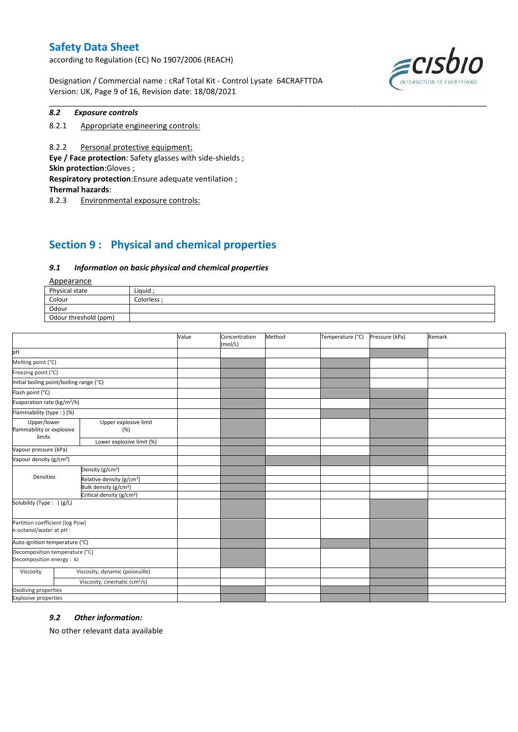according to Regulation (EC) No 1907/2006 (REACH)

Designation / Commercial name : cRaf Total Kit - Control Lysate 64CRAFTTDA Version: UK, Page 9 of 16, Revision date: 18/08/2021



#### *8.2 Exposure controls*

8.2.1 Appropriate engineering controls:

8.2.2 Personal protective equipment: **Eye / Face protection**: Safety glasses with side-shields ; **Skin protection**:Gloves ; **Respiratory protection**:Ensure adequate ventilation ; **Thermal hazards**:

8.2.3 Environmental exposure controls:

## **Section 9 : Physical and chemical properties**

#### *9.1 Information on basic physical and chemical properties*

Appearance

| <u>rippedrunce</u>    |             |
|-----------------------|-------------|
| Physical state        | Liquid      |
| Colour                | Colorless : |
| Odour                 |             |
| Odour threshold (ppm) |             |

\_\_\_\_\_\_\_\_\_\_\_\_\_\_\_\_\_\_\_\_\_\_\_\_\_\_\_\_\_\_\_\_\_\_\_\_\_\_\_\_\_\_\_\_\_\_\_\_\_\_\_\_\_\_\_\_\_\_\_\_\_\_\_\_\_\_\_\_\_\_\_\_\_\_\_\_\_\_\_\_\_\_\_\_\_\_\_\_\_\_\_\_\_\_\_\_\_\_\_\_\_

|                                                            |                                           | Value | Concentration<br>(mol/L) | Method | Temperature (°C) | Pressure (kPa) | Remark |
|------------------------------------------------------------|-------------------------------------------|-------|--------------------------|--------|------------------|----------------|--------|
| pH                                                         |                                           |       |                          |        |                  |                |        |
| Melting point (°C)                                         |                                           |       |                          |        |                  |                |        |
| Freezing point (°C)                                        |                                           |       |                          |        |                  |                |        |
|                                                            | Initial boiling point/boiling range (°C)  |       |                          |        |                  |                |        |
| Flash point (°C)                                           |                                           |       |                          |        |                  |                |        |
| Evaporation rate (kg/m <sup>2</sup> /h)                    |                                           |       |                          |        |                  |                |        |
| Flammability (type:) (%)                                   |                                           |       |                          |        |                  |                |        |
| Upper/lower<br>flammability or explosive<br>limits         | Upper explosive limit<br>(%)              |       |                          |        |                  |                |        |
|                                                            | Lower explosive limit (%)                 |       |                          |        |                  |                |        |
| Vapour pressure (kPa)                                      |                                           |       |                          |        |                  |                |        |
| Vapour density (g/cm <sup>3</sup> )                        |                                           |       |                          |        |                  |                |        |
|                                                            | Density (g/cm <sup>3</sup> )              |       |                          |        |                  |                |        |
| Densities                                                  | Relative density (g/cm <sup>3</sup> )     |       |                          |        |                  |                |        |
|                                                            | Bulk density (g/cm <sup>3</sup> )         |       |                          |        |                  |                |        |
|                                                            | Critical density (g/cm <sup>3</sup> )     |       |                          |        |                  |                |        |
| Solubility (Type: ) (g/L)                                  |                                           |       |                          |        |                  |                |        |
| Partition coefficient (log Pow)<br>n-octanol/water at pH : |                                           |       |                          |        |                  |                |        |
| Auto-ignition temperature (°C)                             |                                           |       |                          |        |                  |                |        |
| Decomposition temperature (°C)                             |                                           |       |                          |        |                  |                |        |
| Decomposition energy : kJ                                  |                                           |       |                          |        |                  |                |        |
| Viscosity                                                  | Viscosity, dynamic (poiseuille)           |       |                          |        |                  |                |        |
|                                                            | Viscosity, cinematic (cm <sup>3</sup> /s) |       |                          |        |                  |                |        |
| Oxidising properties                                       |                                           |       |                          |        |                  |                |        |
| <b>Explosive properties</b>                                |                                           |       |                          |        |                  |                |        |

#### *9.2 Other information:*

No other relevant data available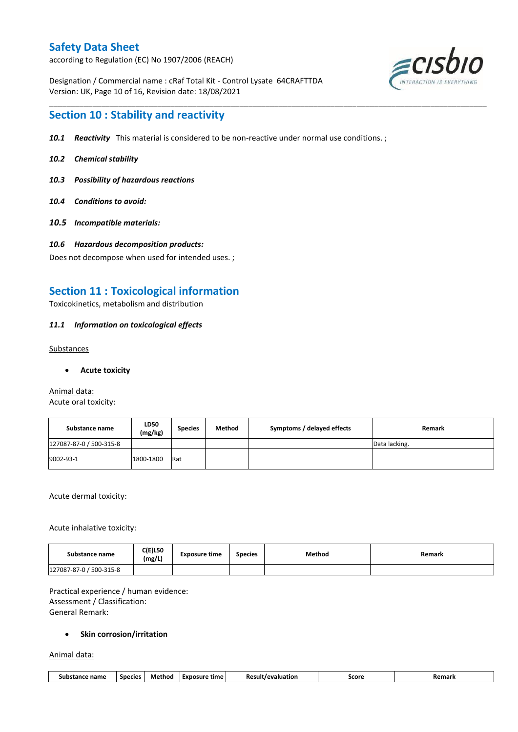according to Regulation (EC) No 1907/2006 (REACH)

Designation / Commercial name : cRaf Total Kit - Control Lysate 64CRAFTTDA Version: UK, Page 10 of 16, Revision date: 18/08/2021



## **Section 10 : Stability and reactivity**

*10.1 Reactivity* This material is considered to be non-reactive under normal use conditions. ;

\_\_\_\_\_\_\_\_\_\_\_\_\_\_\_\_\_\_\_\_\_\_\_\_\_\_\_\_\_\_\_\_\_\_\_\_\_\_\_\_\_\_\_\_\_\_\_\_\_\_\_\_\_\_\_\_\_\_\_\_\_\_\_\_\_\_\_\_\_\_\_\_\_\_\_\_\_\_\_\_\_\_\_\_\_\_\_\_\_\_\_\_\_\_\_\_\_\_\_\_\_

- *10.2 Chemical stability*
- *10.3 Possibility of hazardous reactions*
- *10.4 Conditions to avoid:*
- *10.5 Incompatible materials:*
- *10.6 Hazardous decomposition products:*

Does not decompose when used for intended uses. ;

## **Section 11 : Toxicological information**

Toxicokinetics, metabolism and distribution

#### *11.1 Information on toxicological effects*

#### Substances

**Acute toxicity**

Animal data: Acute oral toxicity:

| Substance name          | <b>LD50</b><br>(mg/kg) | <b>Species</b> | Method | Symptoms / delayed effects | Remark        |
|-------------------------|------------------------|----------------|--------|----------------------------|---------------|
| 127087-87-0 / 500-315-8 |                        |                |        |                            | Data lacking. |
| 9002-93-1               | 1800-1800              | Rat            |        |                            |               |

Acute dermal toxicity:

Acute inhalative toxicity:

| Substance name          | $C(E)$ L50<br>(mg/L) | <b>Exposure time</b> | <b>Species</b> | <b>Method</b> | Remark |
|-------------------------|----------------------|----------------------|----------------|---------------|--------|
| 127087-87-0 / 500-315-8 |                      |                      |                |               |        |

Practical experience / human evidence: Assessment / Classification: General Remark:

#### **•** Skin corrosion/irritation

Animal data:

| 11.<br>Method<br>----<br>,,,,,,,,<br>Score<br><b>Species</b><br>time<br>-Re<br>nsure<br>sub:<br>-vn/<br>name<br>.cion<br>וווגעי<br>an Marc<br><br>- - - |
|---------------------------------------------------------------------------------------------------------------------------------------------------------|
|---------------------------------------------------------------------------------------------------------------------------------------------------------|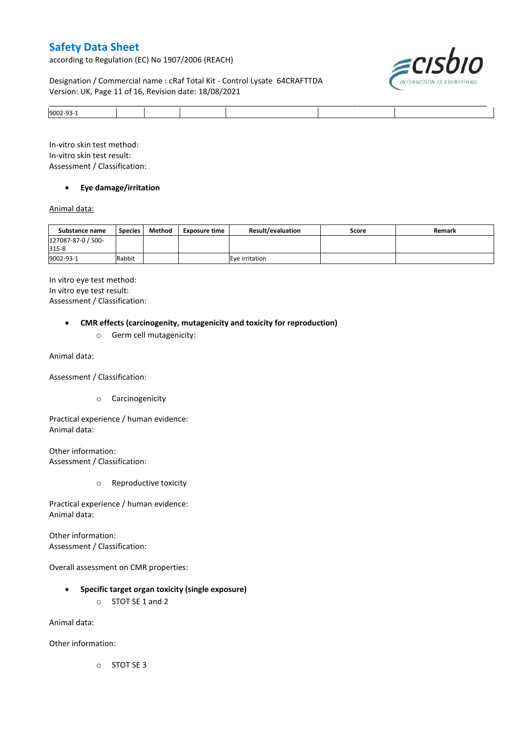according to Regulation (EC) No 1907/2006 (REACH)

#### Designation / Commercial name : cRaf Total Kit - Control Lysate 64CRAFTTDA Version: UK, Page 11 of 16, Revision date: 18/08/2021



|                 |  | ______ | ____<br>_____ |
|-----------------|--|--------|---------------|
| <b>IQOO2-93</b> |  |        |               |

In-vitro skin test method: In-vitro skin test result: Assessment / Classification:

#### **Eye damage/irritation**

#### Animal data:

| Substance name              | <b>Species</b> | Method | <b>Exposure time</b> | <b>Result/evaluation</b> | Score | Remark |
|-----------------------------|----------------|--------|----------------------|--------------------------|-------|--------|
| 127087-87-0 / 500-<br>315-8 |                |        |                      |                          |       |        |
| 9002-93-1                   | Rabbit         |        |                      | Eve irritation           |       |        |

In vitro eye test method: In vitro eye test result: Assessment / Classification:

#### **CMR effects (carcinogenity, mutagenicity and toxicity for reproduction)**

o Germ cell mutagenicity:

Animal data:

Assessment / Classification:

o Carcinogenicity

Practical experience / human evidence: Animal data:

Other information: Assessment / Classification:

o Reproductive toxicity

Practical experience / human evidence: Animal data:

Other information: Assessment / Classification:

Overall assessment on CMR properties:

- **Specific target organ toxicity (single exposure)**
	- o STOT SE 1 and 2

Animal data:

Other information:

o STOT SE 3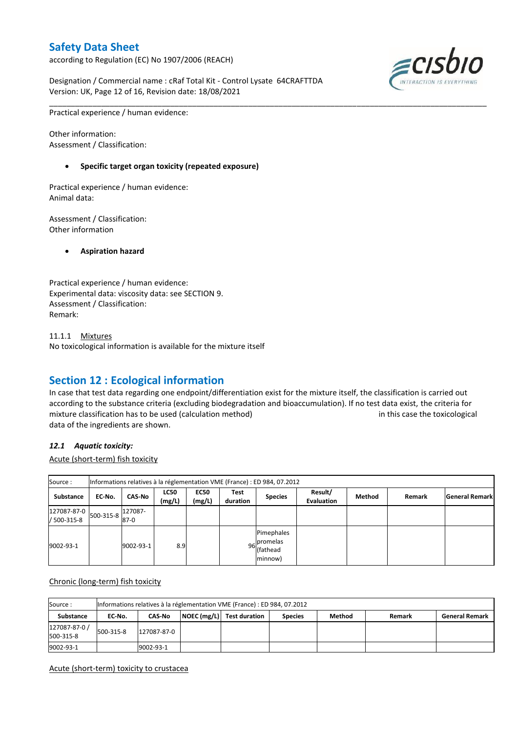according to Regulation (EC) No 1907/2006 (REACH)

Designation / Commercial name : cRaf Total Kit - Control Lysate 64CRAFTTDA Version: UK, Page 12 of 16, Revision date: 18/08/2021



Practical experience / human evidence:

Other information: Assessment / Classification:

#### **Specific target organ toxicity (repeated exposure)**

Practical experience / human evidence: Animal data:

Assessment / Classification: Other information

**Aspiration hazard**

Practical experience / human evidence: Experimental data: viscosity data: see SECTION 9. Assessment / Classification: Remark:

11.1.1 Mixtures No toxicological information is available for the mixture itself

## **Section 12 : Ecological information**

In case that test data regarding one endpoint/differentiation exist for the mixture itself, the classification is carried out according to the substance criteria (excluding biodegradation and bioaccumulation). If no test data exist, the criteria for mixture classification has to be used (calculation method) in this case the toxicological data of the ingredients are shown.

\_\_\_\_\_\_\_\_\_\_\_\_\_\_\_\_\_\_\_\_\_\_\_\_\_\_\_\_\_\_\_\_\_\_\_\_\_\_\_\_\_\_\_\_\_\_\_\_\_\_\_\_\_\_\_\_\_\_\_\_\_\_\_\_\_\_\_\_\_\_\_\_\_\_\_\_\_\_\_\_\_\_\_\_\_\_\_\_\_\_\_\_\_\_\_\_\_\_\_\_\_

#### *12.1 Aquatic toxicity:*

Acute (short-term) fish toxicity

| Source:                                          |        |                   |                       |                       |                  | Informations relatives à la réglementation VME (France) : ED 984, 07.2012 |                              |        |        |                       |
|--------------------------------------------------|--------|-------------------|-----------------------|-----------------------|------------------|---------------------------------------------------------------------------|------------------------------|--------|--------|-----------------------|
| Substance                                        | EC-No. | <b>CAS-No</b>     | <b>LC50</b><br>(mg/L) | <b>EC50</b><br>(mg/L) | Test<br>duration | <b>Species</b>                                                            | Result/<br><b>Evaluation</b> | Method | Remark | <b>General Remark</b> |
| $127087-87-0$ 500-315-8 $ ^{427}$<br>/ 500-315-8 |        | 127087-<br>$87-0$ |                       |                       |                  |                                                                           |                              |        |        |                       |
| 9002-93-1                                        |        | 9002-93-1         | 8.9                   |                       |                  | Pimephales<br>96 <sub>c</sub> promelas<br>(fathead<br>minnow)             |                              |        |        |                       |

#### Chronic (long-term) fish toxicity

| Source:                    |           | Informations relatives à la réglementation VME (France) : ED 984, 07.2012 |  |                           |                |        |        |                       |  |  |  |
|----------------------------|-----------|---------------------------------------------------------------------------|--|---------------------------|----------------|--------|--------|-----------------------|--|--|--|
| Substance                  | EC No.    | <b>CAS-No</b>                                                             |  | NOEC (mg/L) Test duration | <b>Species</b> | Method | Remark | <b>General Remark</b> |  |  |  |
| 127087-87-0 /<br>500-315-8 | 500-315-8 | 127087-87-0                                                               |  |                           |                |        |        |                       |  |  |  |
| 9002-93-1                  |           | 9002-93-1                                                                 |  |                           |                |        |        |                       |  |  |  |

#### Acute (short-term) toxicity to crustacea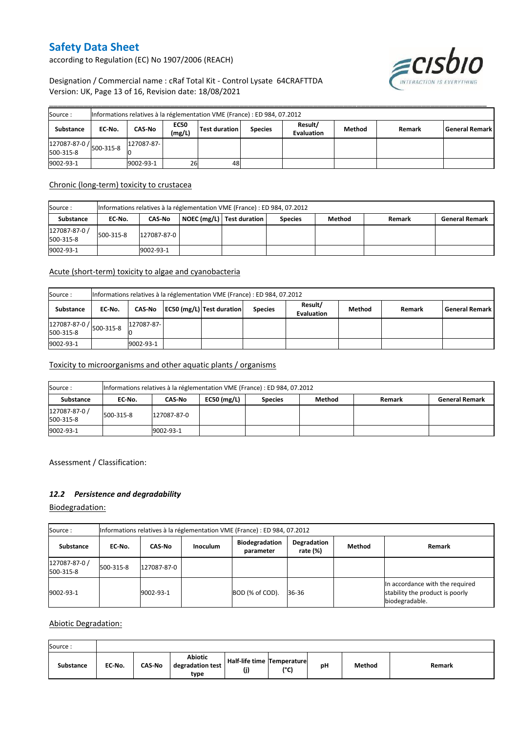according to Regulation (EC) No 1907/2006 (REACH)



#### Designation / Commercial name : cRaf Total Kit - Control Lysate 64CRAFTTDA Version: UK, Page 13 of 16, Revision date: 18/08/2021

| Source:                                                  |        |            |                       | Informations relatives à la réglementation VME (France) : ED 984, 07.2012 |                |                              |        |        |                       |
|----------------------------------------------------------|--------|------------|-----------------------|---------------------------------------------------------------------------|----------------|------------------------------|--------|--------|-----------------------|
| Substance                                                | EC-No. | CAS-No     | <b>EC50</b><br>(mg/L) | Test duration                                                             | <b>Species</b> | Result/<br><b>Evaluation</b> | Method | Remark | <b>General Remark</b> |
| $127087-87-0$ / $500-315-8$ 1 <sup>1/</sup><br>500-315-8 |        | 127087-87- |                       |                                                                           |                |                              |        |        |                       |
| 9002-93-1                                                |        | 9002-93-1  | 26                    | 48                                                                        |                |                              |        |        |                       |

#### Chronic (long-term) toxicity to crustacea

| Source :                   |           | Informations relatives à la réglementation VME (France) : ED 984, 07.2012 |  |                           |                |        |        |                       |  |  |  |
|----------------------------|-----------|---------------------------------------------------------------------------|--|---------------------------|----------------|--------|--------|-----------------------|--|--|--|
| Substance                  | EC-No.    | <b>CAS-No</b>                                                             |  | NOEC (mg/L) Test duration | <b>Species</b> | Method | Remark | <b>General Remark</b> |  |  |  |
| 127087-87-0 /<br>500-315-8 | 500-315-8 | 127087-87-0                                                               |  |                           |                |        |        |                       |  |  |  |
| 9002-93-1                  |           | 9002-93-1                                                                 |  |                           |                |        |        |                       |  |  |  |

#### Acute (short-term) toxicity to algae and cyanobacteria

| Source:                                          |        | Informations relatives à la réglementation VME (France) : ED 984, 07.2012 |  |                           |                |                              |        |        |                       |  |  |
|--------------------------------------------------|--------|---------------------------------------------------------------------------|--|---------------------------|----------------|------------------------------|--------|--------|-----------------------|--|--|
| Substance                                        | EC No. | CAS-No                                                                    |  | EC50 (mg/L) Test duration | <b>Species</b> | Result/<br><b>Evaluation</b> | Method | Remark | <b>General Remark</b> |  |  |
| $127087 - 87 - 0$ / $500 - 315 - 8$<br>500-315-8 |        | 127087-87-                                                                |  |                           |                |                              |        |        |                       |  |  |
| 9002-93-1                                        |        | 9002-93-1                                                                 |  |                           |                |                              |        |        |                       |  |  |

#### Toxicity to microorganisms and other aquatic plants / organisms

| Source:                    |           | Informations relatives à la réglementation VME (France) : ED 984, 07.2012 |               |                |        |               |                       |  |  |  |  |
|----------------------------|-----------|---------------------------------------------------------------------------|---------------|----------------|--------|---------------|-----------------------|--|--|--|--|
| <b>Substance</b>           | EC-No.    | CAS-No                                                                    | $EC50$ (mg/L) | <b>Species</b> | Method | <b>Remark</b> | <b>General Remark</b> |  |  |  |  |
| 127087-87-0 /<br>500-315-8 | 500-315-8 | 127087-87-0                                                               |               |                |        |               |                       |  |  |  |  |
| 9002-93-1                  |           | 9002-93-1                                                                 |               |                |        |               |                       |  |  |  |  |

Assessment / Classification:

#### *12.2 Persistence and degradability*

Biodegradation:

| Source:                    | Informations relatives à la réglementation VME (France) : ED 984, 07.2012 |               |                 |                                    |                            |               |                                                                                      |  |  |  |  |
|----------------------------|---------------------------------------------------------------------------|---------------|-----------------|------------------------------------|----------------------------|---------------|--------------------------------------------------------------------------------------|--|--|--|--|
| Substance                  | EC No.                                                                    | <b>CAS-No</b> | <b>Inoculum</b> | <b>Biodegradation</b><br>parameter | Degradation<br>rate $(\%)$ | <b>Method</b> | Remark                                                                               |  |  |  |  |
| 127087-87-0 /<br>500-315-8 | 500-315-8                                                                 | 127087-87-0   |                 |                                    |                            |               |                                                                                      |  |  |  |  |
| 9002-93-1                  |                                                                           | 9002-93-1     |                 | BOD (% of COD).                    | 36-36                      |               | In accordance with the required<br>stability the product is poorly<br>biodegradable. |  |  |  |  |

Abiotic Degradation:

| Source:          |        |               |                                            |                                   |                      |    |        |        |
|------------------|--------|---------------|--------------------------------------------|-----------------------------------|----------------------|----|--------|--------|
| <b>Substance</b> | EC No. | <b>CAS-No</b> | <b>Abiotic</b><br>degradation test<br>type | Half-life time Temperature<br>(j) | 10 <sub>m</sub><br>◡ | рH | Method | Remark |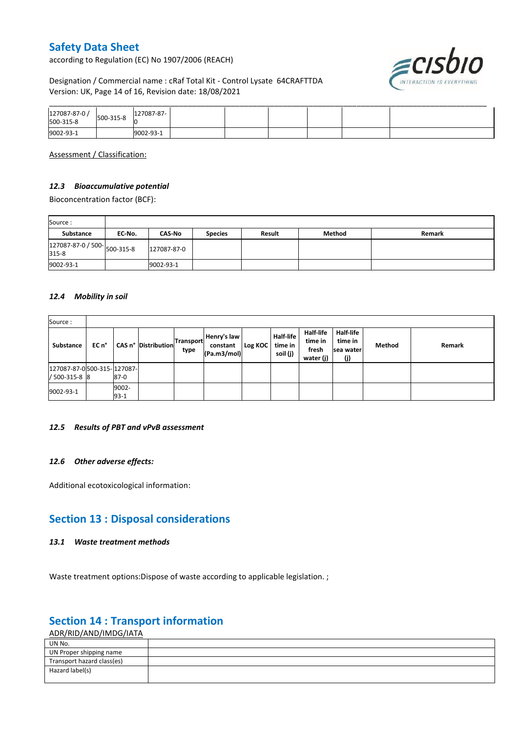according to Regulation (EC) No 1907/2006 (REACH)

# ≡cısbıo

#### Designation / Commercial name : cRaf Total Kit - Control Lysate 64CRAFTTDA Version: UK, Page 14 of 16, Revision date: 18/08/2021

| 127087-87-0 /<br>500-315-8 | 500-315-8 | 127087-87- |  |  |  |
|----------------------------|-----------|------------|--|--|--|
| 9002-93-1                  |           | 9002-93-1  |  |  |  |

Assessment / Classification:

#### *12.3 Bioaccumulative potential*

Bioconcentration factor (BCF):

| Source:                              |        |               |                |        |        |        |
|--------------------------------------|--------|---------------|----------------|--------|--------|--------|
| Substance                            | EC No. | <b>CAS-No</b> | <b>Species</b> | Result | Method | Remark |
| 127087-87-0 / 500-<br>015.8<br>315-8 |        | 127087-87-0   |                |        |        |        |
| 9002-93-1                            |        | 9002-93-1     |                |        |        |        |

#### *12.4 Mobility in soil*

| Source:                                       |       |                 |                                                |      |                                        |         |                                         |                                                   |                                                 |        |        |
|-----------------------------------------------|-------|-----------------|------------------------------------------------|------|----------------------------------------|---------|-----------------------------------------|---------------------------------------------------|-------------------------------------------------|--------|--------|
| Substance                                     | EC n° |                 | <sup>1</sup> CAS n° Distribution Transport   . | type | Henry's law<br>constant<br>(Pa.m3/mol) | Log KOC | <b>Half-life</b><br>time in<br>soil (j) | <b>Half-life</b><br>time in<br>fresh<br>water (j) | <b>Half-life</b><br>time in<br>sea water<br>(j) | Method | Remark |
| 127087-87-0 500-315- 127087-<br>/ 500-315-8 8 |       | $87-0$          |                                                |      |                                        |         |                                         |                                                   |                                                 |        |        |
| 9002-93-1                                     |       | 9002-<br>$93-1$ |                                                |      |                                        |         |                                         |                                                   |                                                 |        |        |

#### *12.5 Results of PBT and vPvB assessment*

#### *12.6 Other adverse effects:*

Additional ecotoxicological information:

## **Section 13 : Disposal considerations**

#### *13.1 Waste treatment methods*

Waste treatment options: Dispose of waste according to applicable legislation. ;

## **Section 14 : Transport information**

ADR/RID/AND/IMDG/IATA

| UN No.                     |  |
|----------------------------|--|
| UN Proper shipping name    |  |
| Transport hazard class(es) |  |
| Hazard label(s)            |  |
|                            |  |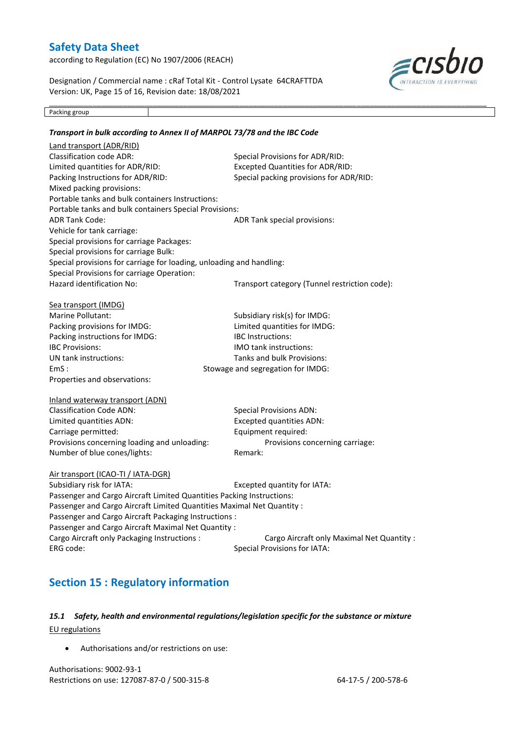according to Regulation (EC) No 1907/2006 (REACH)

Designation / Commercial name : cRaf Total Kit - Control Lysate 64CRAFTTDA Version: UK, Page 15 of 16, Revision date: 18/08/2021

\_\_\_\_\_\_\_\_\_\_\_\_\_\_\_\_\_\_\_\_\_\_\_\_\_\_\_\_\_\_\_\_\_\_\_\_\_\_\_\_\_\_\_\_\_\_\_\_\_\_\_\_\_\_\_\_\_\_\_\_\_\_\_\_\_\_\_\_\_\_\_\_\_\_\_\_\_\_\_\_\_\_\_\_\_\_\_\_\_\_\_\_\_\_\_\_\_\_\_\_\_



Packing group

## *Transport in bulk according to Annex II of MARPOL 73/78 and the IBC Code* Land transport (ADR/RID) Classification code ADR: Special Provisions for ADR/RID: Limited quantities for ADR/RID: Excepted Quantities for ADR/RID: Packing Instructions for ADR/RID: Special packing provisions for ADR/RID: Mixed packing provisions: Portable tanks and bulk containers Instructions: Portable tanks and bulk containers Special Provisions: ADR Tank Code: ADR Tank special provisions: Vehicle for tank carriage: Special provisions for carriage Packages: Special provisions for carriage Bulk: Special provisions for carriage for loading, unloading and handling: Special Provisions for carriage Operation: Hazard identification No: Transport category (Tunnel restriction code): Sea transport (IMDG) Marine Pollutant: Subsidiary risk(s) for IMDG: Packing provisions for IMDG: Limited quantities for IMDG: Packing instructions for IMDG: IBC Instructions: IBC Provisions: IMO tank instructions: UN tank instructions: Tanks and bulk Provisions: EmS : Stowage and segregation for IMDG: Properties and observations: Inland waterway transport (ADN) Classification Code ADN: Special Provisions ADN: Limited quantities ADN: Excepted quantities ADN: Carriage permitted: Equipment required: Provisions concerning loading and unloading: Provisions concerning carriage: Number of blue cones/lights: Remark: Air transport (ICAO-TI / IATA-DGR) Subsidiary risk for IATA: Excepted quantity for IATA: Passenger and Cargo Aircraft Limited Quantities Packing Instructions: Passenger and Cargo Aircraft Limited Quantities Maximal Net Quantity : Passenger and Cargo Aircraft Packaging Instructions :

Passenger and Cargo Aircraft Maximal Net Quantity : Cargo Aircraft only Packaging Instructions : Cargo Aircraft only Maximal Net Quantity : ERG code: Special Provisions for IATA:

## **Section 15 : Regulatory information**

#### *15.1 Safety, health and environmental regulations/legislation specific for the substance or mixture* EU regulations

Authorisations and/or restrictions on use:

Authorisations: 9002-93-1 Restrictions on use: 127087-87-0 / 500-315-8 64-17-5 / 200-578-6